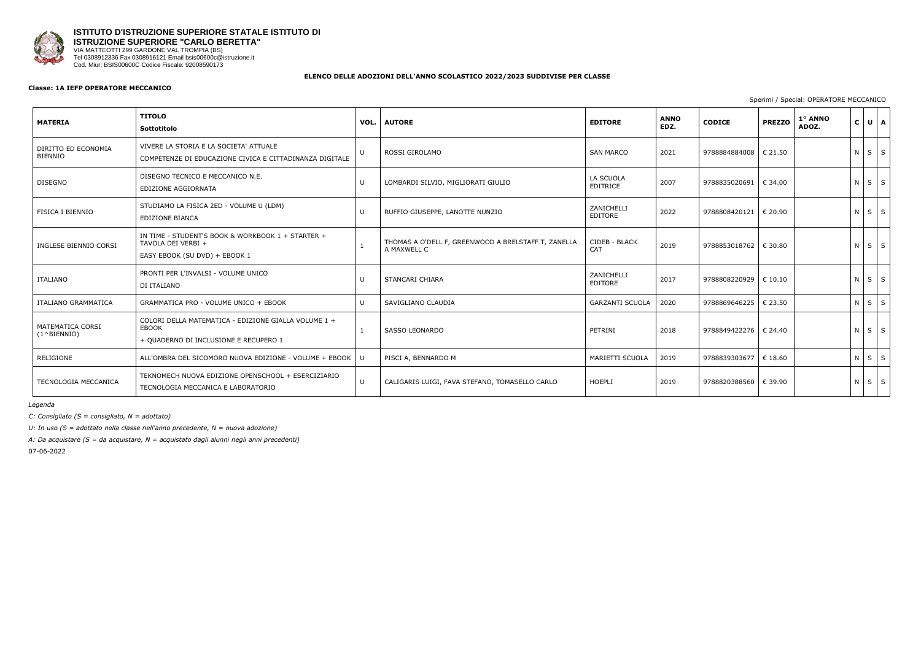

# **ISTITUTO D'ISTRUZIONE SUPERIORE STATALE ISTITUTO DI ISTRUZIONE SUPERIORE "CARLO BERETTA"** VIA MATTEOTTI 299 GARDONE VAL TROMPIA (BS)

Tel 0308912336 Fax 0308916121 Email bsis00600c@istruzione.it Cod. Miur: BSIS00600C Codice Fiscale: 92008590173

## **ELENCO DELLE ADOZIONI DELL'ANNO SCOLASTICO 2022/2023 SUDDIVISE PER CLASSE**

## **Classe: 1A IEFP OPERATORE MECCANICO**

Sperimi / Special: OPERATORE MECCANICO

| <b>MATERIA</b>                             | <b>TITOLO</b><br>Sottotitolo                                                                             | VOL. | <b>AUTORE</b>                                                      | <b>EDITORE</b>               | <b>ANNO</b><br>EDZ. | <b>CODICE</b>           | <b>PREZZO</b> | 1° ANNO<br>ADOZ. | $\mathbf{C}$ | $U$ $A$           |  |
|--------------------------------------------|----------------------------------------------------------------------------------------------------------|------|--------------------------------------------------------------------|------------------------------|---------------------|-------------------------|---------------|------------------|--------------|-------------------|--|
| DIRITTO ED ECONOMIA<br><b>BIENNIO</b>      | VIVERE LA STORIA E LA SOCIETA' ATTUALE<br>COMPETENZE DI EDUCAZIONE CIVICA E CITTADINANZA DIGITALE        |      | ROSSI GIROLAMO                                                     | <b>SAN MARCO</b>             | 2021                | 9788884884008   € 21.50 |               |                  |              | NSS               |  |
| <b>DISEGNO</b>                             | DISEGNO TECNICO E MECCANICO N.E.<br>EDIZIONE AGGIORNATA                                                  |      | LOMBARDI SILVIO, MIGLIORATI GIULIO                                 | LA SCUOLA<br><b>EDITRICE</b> | 2007                | 9788835020691   € 34.00 |               |                  |              | NSS               |  |
| <b>FISICA I BIENNIO</b>                    | STUDIAMO LA FISICA 2ED - VOLUME U (LDM)<br>EDIZIONE BIANCA                                               |      | RUFFIO GIUSEPPE, LANOTTE NUNZIO                                    | ZANICHELLI<br>EDITORE        | 2022                | 9788808420121 € 20.90   |               |                  |              | $N \mid S \mid S$ |  |
| INGLESE BIENNIO CORSI                      | IN TIME - STUDENT'S BOOK & WORKBOOK 1 + STARTER +<br>TAVOLA DEI VERBI +<br>EASY EBOOK (SU DVD) + EBOOK 1 |      | THOMAS A O'DELL F, GREENWOOD A BRELSTAFF T, ZANELLA<br>A MAXWELL C | CIDEB - BLACK<br>CAT         | 2019                | 9788853018762   € 30.80 |               |                  |              | $N$ $S$ $S$       |  |
| ITALIANO                                   | PRONTI PER L'INVALSI - VOLUME UNICO<br>DI ITALIANO                                                       |      | STANCARI CHIARA                                                    | ZANICHELLI<br>EDITORE        | 2017                | 9788808220929 € 10.10   |               |                  |              | NSS               |  |
| ITALIANO GRAMMATICA                        | GRAMMATICA PRO - VOLUME UNICO + EBOOK                                                                    |      | SAVIGLIANO CLAUDIA                                                 | <b>GARZANTI SCUOLA</b>       | 2020                | 9788869646225           | € 23.50       |                  |              | $N \mid S \mid S$ |  |
| MATEMATICA CORSI<br>$(1^{\wedge}$ BIENNIO) | COLORI DELLA MATEMATICA - EDIZIONE GIALLA VOLUME 1 +<br>EBOOK<br>+ QUADERNO DI INCLUSIONE E RECUPERO 1   |      | <b>SASSO LEONARDO</b>                                              | PETRINI                      | 2018                | 9788849422276 € 24.40   |               |                  |              | $N \mid S \mid S$ |  |
| RELIGIONE                                  | ALL'OMBRA DEL SICOMORO NUOVA EDIZIONE - VOLUME + EBOOK                                                   |      | PISCI A, BENNARDO M                                                | MARIETTI SCUOLA              | 2019                | 9788839303677           | € 18.60       |                  |              | $N$ $S$ $S$       |  |
| TECNOLOGIA MECCANICA                       | TEKNOMECH NUOVA EDIZIONE OPENSCHOOL + ESERCIZIARIO<br>TECNOLOGIA MECCANICA E LABORATORIO                 |      | CALIGARIS LUIGI, FAVA STEFANO, TOMASELLO CARLO                     | <b>HOEPLI</b>                | 2019                | 9788820388560 € 39.90   |               |                  |              | N S S             |  |

*Legenda*

*C: Consigliato (S = consigliato, N = adottato)*

*U: In uso (S = adottato nella classe nell'anno precedente, N = nuova adozione)*

*A: Da acquistare (S = da acquistare, N = acquistato dagli alunni negli anni precedenti)*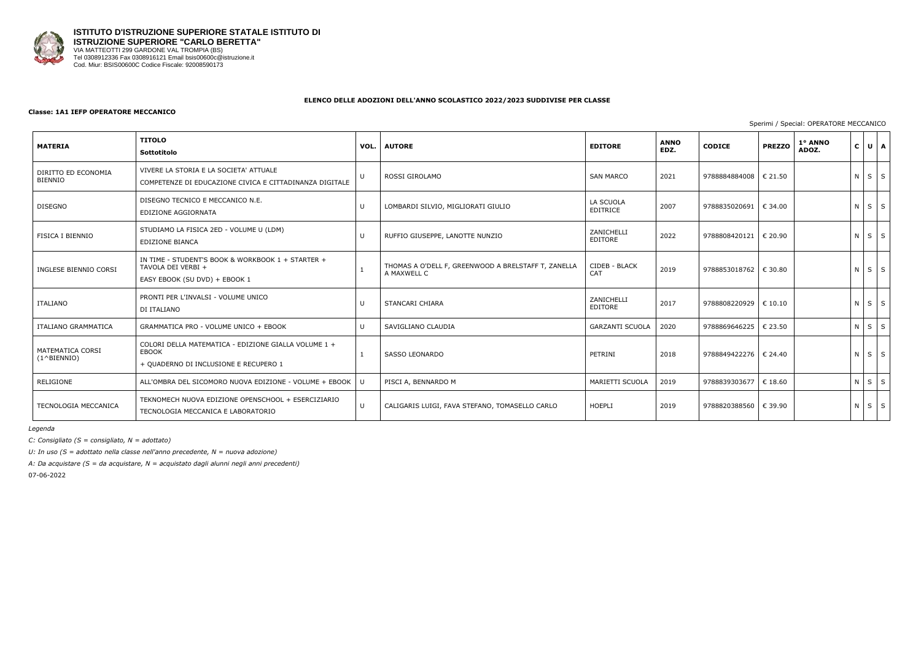

#### **Classe: 1A1 IEFP OPERATORE MECCANICO**

## Sperimi / Special: OPERATORE MECCANICO

| <b>MATERIA</b>                            | <b>TITOLO</b><br>Sottotitolo                                                                                  | VOL.         | <b>AUTORE</b>                                                      | <b>EDITORE</b>               | <b>ANNO</b><br>EDZ. | <b>CODICE</b>           | <b>PREZZO</b>    | 1° ANNO<br>ADOZ. | $\mathbf{C}$ | UA                |   |
|-------------------------------------------|---------------------------------------------------------------------------------------------------------------|--------------|--------------------------------------------------------------------|------------------------------|---------------------|-------------------------|------------------|------------------|--------------|-------------------|---|
| DIRITTO ED ECONOMIA<br><b>BIENNIO</b>     | VIVERE LA STORIA E LA SOCIETA' ATTUALE<br>COMPETENZE DI EDUCAZIONE CIVICA E CITTADINANZA DIGITALE             |              | ROSSI GIROLAMO                                                     | <b>SAN MARCO</b>             | 2021                | 9788884884008   € 21.50 |                  |                  | $N$ $S$      |                   | S |
| <b>DISEGNO</b>                            | DISEGNO TECNICO E MECCANICO N.E.<br>EDIZIONE AGGIORNATA                                                       | $\cup$       | LOMBARDI SILVIO, MIGLIORATI GIULIO                                 | LA SCUOLA<br><b>EDITRICE</b> | 2007                | 9788835020691           | € 34.00          |                  |              | $N$ $S$ $S$       |   |
| FISICA I BIENNIO                          | STUDIAMO LA FISICA 2ED - VOLUME U (LDM)<br><b>EDIZIONE BIANCA</b>                                             |              | RUFFIO GIUSEPPE, LANOTTE NUNZIO                                    | ZANICHELLI<br>EDITORE        | 2022                | 9788808420121           | € 20.90          |                  | $N$ $S$      |                   | S |
| INGLESE BIENNIO CORSI                     | IN TIME - STUDENT'S BOOK & WORKBOOK 1 + STARTER +<br>TAVOLA DEI VERBI +<br>EASY EBOOK (SU DVD) + EBOOK 1      |              | THOMAS A O'DELL F, GREENWOOD A BRELSTAFF T, ZANELLA<br>A MAXWELL C | CIDEB - BLACK<br>CAT         | 2019                | 9788853018762   € 30.80 |                  |                  |              | $N \mid S \mid S$ |   |
| ITALIANO                                  | PRONTI PER L'INVALSI - VOLUME UNICO<br>DI ITALIANO                                                            |              | <b>STANCARI CHIARA</b>                                             | ZANICHELLI<br>EDITORE        | 2017                | 9788808220929           | $\epsilon$ 10.10 |                  |              | $N$ $S$ $S$       |   |
| ITALIANO GRAMMATICA                       | GRAMMATICA PRO - VOLUME UNICO + EBOOK                                                                         | $\mathbf{U}$ | SAVIGLIANO CLAUDIA                                                 | <b>GARZANTI SCUOLA</b>       | 2020                | 9788869646225           | € 23.50          |                  | N S          |                   | S |
| MATEMATICA CORSI<br>$(1^{\wedge}BIFNNIO)$ | COLORI DELLA MATEMATICA - EDIZIONE GIALLA VOLUME 1 +<br><b>EBOOK</b><br>+ QUADERNO DI INCLUSIONE E RECUPERO 1 |              | <b>SASSO LEONARDO</b>                                              | PETRINI                      | 2018                | 9788849422276   € 24.40 |                  |                  |              | $N \mid S \mid S$ |   |
| RELIGIONE                                 | ALL'OMBRA DEL SICOMORO NUOVA EDIZIONE - VOLUME + EBOOK   U                                                    |              | PISCI A, BENNARDO M                                                | MARIETTI SCUOLA              | 2019                | 9788839303677           | € 18.60          |                  | N S          |                   | S |
| TECNOLOGIA MECCANICA                      | TEKNOMECH NUOVA EDIZIONE OPENSCHOOL + ESERCIZIARIO<br>TECNOLOGIA MECCANICA E LABORATORIO                      | $\mathsf{U}$ | CALIGARIS LUIGI, FAVA STEFANO, TOMASELLO CARLO                     | <b>HOEPLI</b>                | 2019                | 9788820388560 € 39.90   |                  |                  |              | $N$ $S$ $S$       |   |

*Legenda*

*C: Consigliato (S = consigliato, N = adottato)*

*U: In uso (S = adottato nella classe nell'anno precedente, N = nuova adozione)*

*A: Da acquistare (S = da acquistare, N = acquistato dagli alunni negli anni precedenti)* 07-06-2022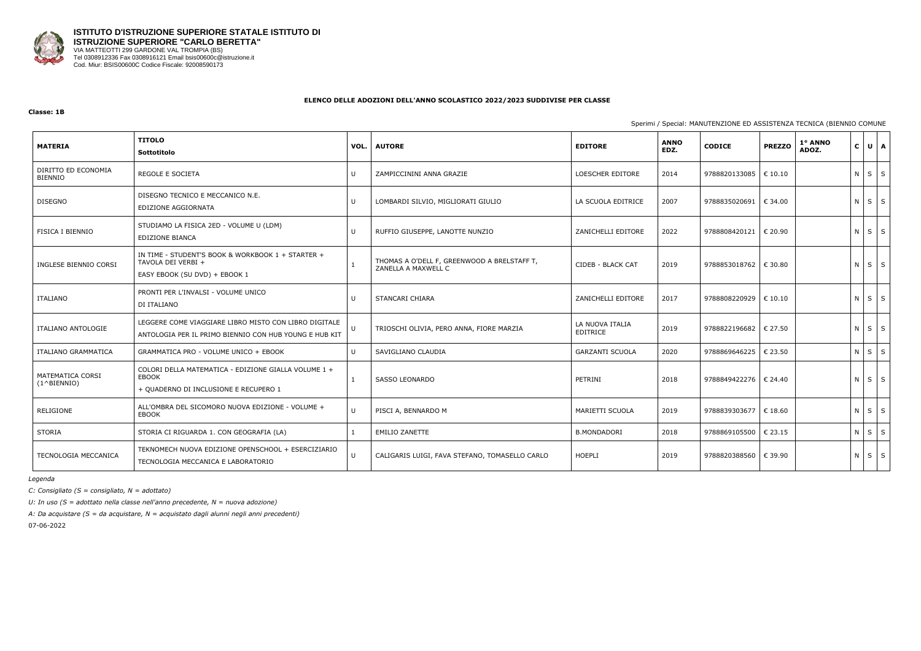

#### **Classe: 1B**

## Sperimi / Special: MANUTENZIONE ED ASSISTENZA TECNICA (BIENNIO COMUNE

| <b>MATERIA</b>                             | <b>TITOLO</b><br>Sottotitolo                                                                                    | VOL. | <b>AUTORE</b>                                                      | <b>EDITORE</b>                     | <b>ANNO</b><br>EDZ. | <b>CODICE</b>           | <b>PREZZO</b>     | 1° ANNO<br>ADOZ. | $\mathbf{C}$      | $U$ $A$    |
|--------------------------------------------|-----------------------------------------------------------------------------------------------------------------|------|--------------------------------------------------------------------|------------------------------------|---------------------|-------------------------|-------------------|------------------|-------------------|------------|
| DIRITTO ED ECONOMIA<br><b>BIENNIO</b>      | <b>REGOLE E SOCIETA</b>                                                                                         | U    | ZAMPICCININI ANNA GRAZIE                                           | LOESCHER EDITORE                   | 2014                | 9788820133085           | $\epsilon$ 10.10  |                  | $N$ $S$ $S$       |            |
| <b>DISEGNO</b>                             | DISEGNO TECNICO E MECCANICO N.E.<br>EDIZIONE AGGIORNATA                                                         | U    | LOMBARDI SILVIO, MIGLIORATI GIULIO                                 | LA SCUOLA EDITRICE                 | 2007                | 9788835020691           | € 34.00           |                  | $N$ $S$ $S$       |            |
| FISICA I BIENNIO                           | STUDIAMO LA FISICA 2ED - VOLUME U (LDM)<br>EDIZIONE BIANCA                                                      | U    | RUFFIO GIUSEPPE, LANOTTE NUNZIO                                    | ZANICHELLI EDITORE                 | 2022                | 9788808420121           | € 20.90           |                  | $N$ $S$ $S$       |            |
| INGLESE BIENNIO CORSI                      | IN TIME - STUDENT'S BOOK & WORKBOOK 1 + STARTER +<br>TAVOLA DEI VERBI +<br>EASY EBOOK (SU DVD) + EBOOK 1        |      | THOMAS A O'DELL F, GREENWOOD A BRELSTAFF T,<br>ZANELLA A MAXWELL C | CIDEB - BLACK CAT                  | 2019                | 9788853018762           | $\epsilon$ 30.80  |                  | N                 | $S \mid S$ |
| <b>ITALIANO</b>                            | PRONTI PER L'INVALSI - VOLUME UNICO<br>DI ITALIANO                                                              | U    | STANCARI CHIARA                                                    | ZANICHELLI EDITORE                 | 2017                | 9788808220929           | $\vert \in 10.10$ |                  | $N \mid S \mid S$ |            |
| ITALIANO ANTOLOGIE                         | LEGGERE COME VIAGGIARE LIBRO MISTO CON LIBRO DIGITALE<br>ANTOLOGIA PER IL PRIMO BIENNIO CON HUB YOUNG E HUB KIT | U    | TRIOSCHI OLIVIA, PERO ANNA, FIORE MARZIA                           | LA NUOVA ITALIA<br><b>EDITRICE</b> | 2019                | 9788822196682   € 27.50 |                   |                  | $N \mid S \mid S$ |            |
| ITALIANO GRAMMATICA                        | GRAMMATICA PRO - VOLUME UNICO + EBOOK                                                                           | U    | SAVIGLIANO CLAUDIA                                                 | <b>GARZANTI SCUOLA</b>             | 2020                | 9788869646225           | € 23.50           |                  | $N$ $S$ $S$       |            |
| MATEMATICA CORSI<br>$(1^{\wedge}$ BIENNIO) | COLORI DELLA MATEMATICA - EDIZIONE GIALLA VOLUME 1 +<br>EBOOK<br>+ QUADERNO DI INCLUSIONE E RECUPERO 1          | 1    | SASSO LEONARDO                                                     | PETRINI                            | 2018                | 9788849422276           | € 24.40           |                  | ΝI                | $S$ $S$    |
| RELIGIONE                                  | ALL'OMBRA DEL SICOMORO NUOVA EDIZIONE - VOLUME +<br>EBOOK                                                       | U    | PISCI A, BENNARDO M                                                | MARIETTI SCUOLA                    | 2019                | 9788839303677           | € 18.60           |                  | $N \mid S \mid S$ |            |
| STORIA                                     | STORIA CI RIGUARDA 1. CON GEOGRAFIA (LA)                                                                        |      | <b>EMILIO ZANETTE</b>                                              | <b>B.MONDADORI</b>                 | 2018                | 9788869105500           | € 23.15           |                  | N.                | $S \mid S$ |
| TECNOLOGIA MECCANICA                       | TEKNOMECH NUOVA EDIZIONE OPENSCHOOL + ESERCIZIARIO<br>TECNOLOGIA MECCANICA E LABORATORIO                        | U    | CALIGARIS LUIGI, FAVA STEFANO, TOMASELLO CARLO                     | HOEPLI                             | 2019                | 9788820388560           | € 39.90           |                  | $N$ $S$ $S$       |            |

*Legenda*

*C: Consigliato (S = consigliato, N = adottato)*

*U: In uso (S = adottato nella classe nell'anno precedente, N = nuova adozione)*

*A: Da acquistare (S = da acquistare, N = acquistato dagli alunni negli anni precedenti)* 07-06-2022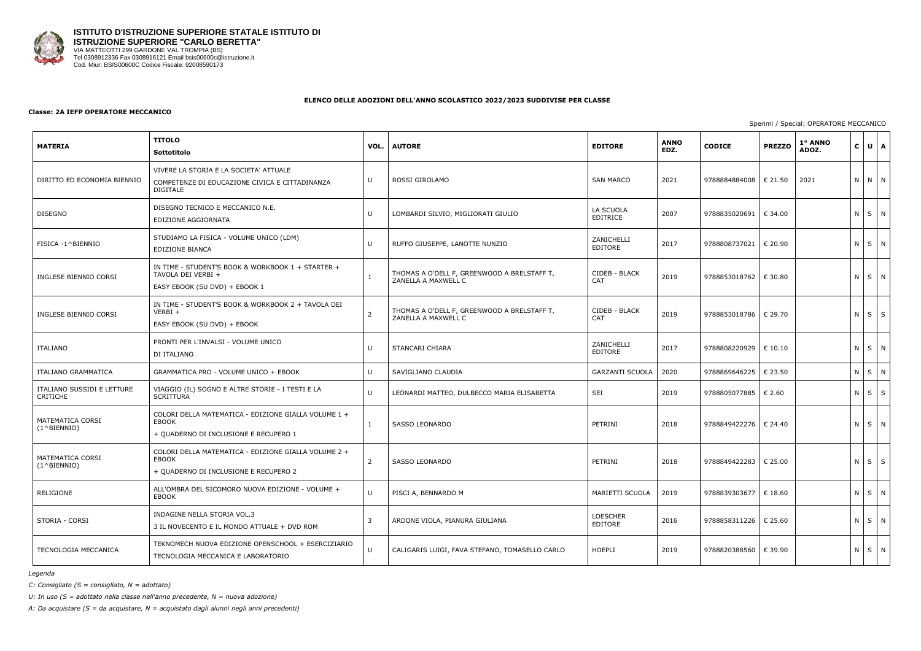

#### **Classe: 2A IEFP OPERATORE MECCANICO**

| <b>MATERIA</b>                            | <b>TITOLO</b><br>Sottotitolo                                                                                  | VOL.         | <b>AUTORE</b>                                                      | <b>EDITORE</b>              | <b>ANNO</b><br>EDZ. | <b>CODICE</b>           | <b>PREZZO</b>    | 1° ANNO<br>$ U $ $A$<br>$\mathsf{C}$<br>ADOZ.<br>N N N<br>N S N<br>NSN<br>NSN |             |  |             |
|-------------------------------------------|---------------------------------------------------------------------------------------------------------------|--------------|--------------------------------------------------------------------|-----------------------------|---------------------|-------------------------|------------------|-------------------------------------------------------------------------------|-------------|--|-------------|
| DIRITTO ED ECONOMIA BIENNIO               | VIVERE LA STORIA E LA SOCIETA' ATTUALE<br>COMPETENZE DI EDUCAZIONE CIVICA E CITTADINANZA<br><b>DIGITALE</b>   | U            | ROSSI GIROLAMO                                                     | <b>SAN MARCO</b>            | 2021                | 9788884884008           | $\epsilon$ 21.50 | 2021                                                                          |             |  |             |
| <b>DISEGNO</b>                            | DISEGNO TECNICO E MECCANICO N.E.<br>EDIZIONE AGGIORNATA                                                       |              | LOMBARDI SILVIO, MIGLIORATI GIULIO                                 | LA SCUOLA<br>EDITRICE       | 2007                | 9788835020691           | € 34.00          |                                                                               |             |  |             |
| FISICA -1^BIENNIO                         | STUDIAMO LA FISICA - VOLUME UNICO (LDM)<br>EDIZIONE BIANCA                                                    | U            | RUFFO GIUSEPPE, LANOTTE NUNZIO                                     | ZANICHELLI<br>EDITORE       | 2017                | 9788808737021           | € 20.90          |                                                                               |             |  |             |
| INGLESE BIENNIO CORSI                     | IN TIME - STUDENT'S BOOK & WORKBOOK 1 + STARTER +<br>TAVOLA DEI VERBI +<br>EASY EBOOK (SU DVD) + EBOOK 1      |              | THOMAS A O'DELL F, GREENWOOD A BRELSTAFF T,<br>ZANELLA A MAXWELL C | CIDEB - BLACK<br><b>CAT</b> | 2019                | 9788853018762           | € 30.80          |                                                                               |             |  |             |
| INGLESE BIENNIO CORSI                     | IN TIME - STUDENT'S BOOK & WORKBOOK 2 + TAVOLA DEI<br>$VERBI +$<br>EASY EBOOK (SU DVD) + EBOOK                | 2            | THOMAS A O'DELL F, GREENWOOD A BRELSTAFF T,<br>ZANELLA A MAXWELL C | CIDEB - BLACK<br><b>CAT</b> | 2019                | 9788853018786           | € 29.70          |                                                                               |             |  | $N$ $S$ $S$ |
| ITALIANO                                  | PRONTI PER L'INVALSI - VOLUME UNICO<br>DI ITALIANO                                                            |              | STANCARI CHIARA                                                    | ZANICHELLI<br>EDITORE       | 2017                | 9788808220929           | € 10.10          |                                                                               |             |  | N S N       |
| ITALIANO GRAMMATICA                       | GRAMMATICA PRO - VOLUME UNICO + EBOOK                                                                         | $\mathbf{U}$ | SAVIGLIANO CLAUDIA                                                 | <b>GARZANTI SCUOLA</b>      | 2020                | 9788869646225           | € 23.50          |                                                                               |             |  | N S N       |
| ITALIANO SUSSIDI E LETTURE<br>CRITICHE    | VIAGGIO (IL) SOGNO E ALTRE STORIE - I TESTI E LA<br><b>SCRITTURA</b>                                          |              | LEONARDI MATTEO, DULBECCO MARIA ELISABETTA                         | SEI                         | 2019                | 9788805077885           | € 2.60           |                                                                               | $N$ $S$ $S$ |  |             |
| MATEMATICA CORSI<br>$(1^{\wedge}BIFNNIO)$ | COLORI DELLA MATEMATICA - EDIZIONE GIALLA VOLUME 1 +<br>EBOOK<br>+ QUADERNO DI INCLUSIONE E RECUPERO 1        |              | SASSO LEONARDO                                                     | PETRINI                     | 2018                | 9788849422276   € 24.40 |                  |                                                                               |             |  | N S N       |
| MATEMATICA CORSI<br>$(1^{\wedge}BIFNNIO)$ | COLORI DELLA MATEMATICA - EDIZIONE GIALLA VOLUME 2 +<br><b>EBOOK</b><br>+ QUADERNO DI INCLUSIONE E RECUPERO 2 | 2            | <b>SASSO LEONARDO</b>                                              | PETRINI                     | 2018                | 9788849422283           | € 25.00          |                                                                               |             |  | $N$ $S$ $S$ |
| RELIGIONE                                 | ALL'OMBRA DEL SICOMORO NUOVA EDIZIONE - VOLUME +<br>EBOOK                                                     |              | PISCI A, BENNARDO M                                                | MARIETTI SCUOLA             | 2019                | 9788839303677           | € 18.60          |                                                                               |             |  | N S N       |
| STORIA - CORSI                            | INDAGINE NELLA STORIA VOL.3<br>3 IL NOVECENTO E IL MONDO ATTUALE + DVD ROM                                    | 3            | ARDONE VIOLA, PIANURA GIULIANA                                     | <b>LOESCHER</b><br>EDITORE  | 2016                | 9788858311226   € 25.60 |                  |                                                                               |             |  | N S N       |
| TECNOLOGIA MECCANICA                      | TEKNOMECH NUOVA EDIZIONE OPENSCHOOL + ESERCIZIARIO<br>TECNOLOGIA MECCANICA E LABORATORIO                      |              | CALIGARIS LUIGI, FAVA STEFANO, TOMASELLO CARLO                     | HOEPLI                      | 2019                | 9788820388560 € 39.90   |                  |                                                                               |             |  | N S N       |

*Legenda*

*C: Consigliato (S = consigliato, N = adottato)*

*U: In uso (S = adottato nella classe nell'anno precedente, N = nuova adozione)*

*A: Da acquistare (S = da acquistare, N = acquistato dagli alunni negli anni precedenti)*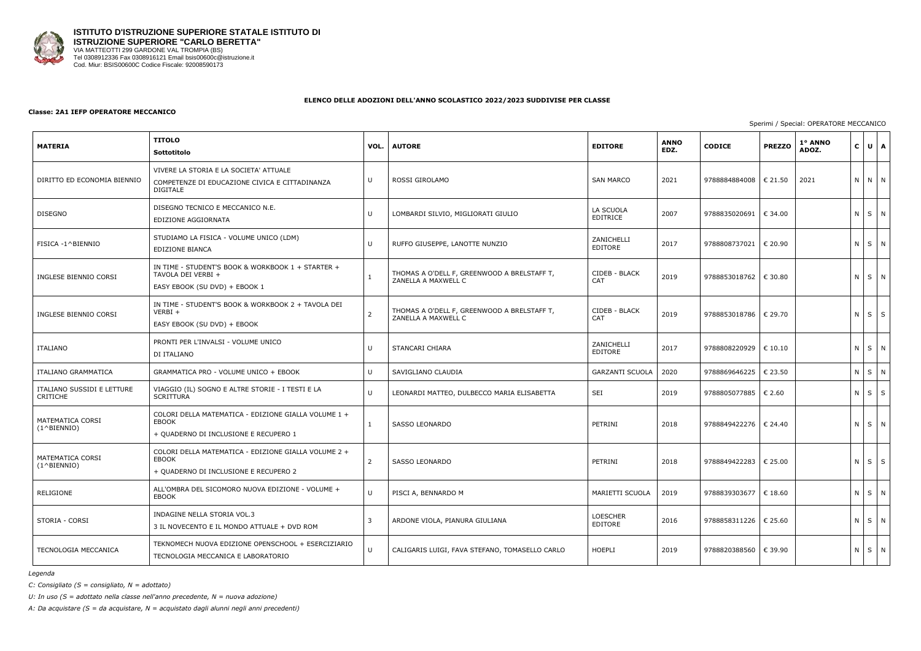

#### **Classe: 2A1 IEFP OPERATORE MECCANICO**

| <b>MATERIA</b>                            | <b>TITOLO</b><br>Sottotitolo                                                                                  | VOL.         | <b>AUTORE</b>                                                      | <b>EDITORE</b>              | <b>ANNO</b><br>EDZ. | <b>CODICE</b>           | <b>PREZZO</b>    | 1° ANNO<br>$ U $ $A$<br>$\mathsf{C}$<br>ADOZ.<br>N N N<br>N S N<br>NSN<br>NSN<br>$N$ $S$ $S$ |  |             |  |
|-------------------------------------------|---------------------------------------------------------------------------------------------------------------|--------------|--------------------------------------------------------------------|-----------------------------|---------------------|-------------------------|------------------|----------------------------------------------------------------------------------------------|--|-------------|--|
| DIRITTO ED ECONOMIA BIENNIO               | VIVERE LA STORIA E LA SOCIETA' ATTUALE<br>COMPETENZE DI EDUCAZIONE CIVICA E CITTADINANZA<br><b>DIGITALE</b>   | U            | ROSSI GIROLAMO                                                     | <b>SAN MARCO</b>            | 2021                | 9788884884008           | $\epsilon$ 21.50 | 2021                                                                                         |  |             |  |
| <b>DISEGNO</b>                            | DISEGNO TECNICO E MECCANICO N.E.<br>EDIZIONE AGGIORNATA                                                       |              | LOMBARDI SILVIO, MIGLIORATI GIULIO                                 | LA SCUOLA<br>EDITRICE       | 2007                | 9788835020691           | € 34.00          |                                                                                              |  |             |  |
| FISICA -1^BIENNIO                         | STUDIAMO LA FISICA - VOLUME UNICO (LDM)<br>EDIZIONE BIANCA                                                    | U            | RUFFO GIUSEPPE, LANOTTE NUNZIO                                     | ZANICHELLI<br>EDITORE       | 2017                | 9788808737021           | € 20.90          |                                                                                              |  |             |  |
| INGLESE BIENNIO CORSI                     | IN TIME - STUDENT'S BOOK & WORKBOOK 1 + STARTER +<br>TAVOLA DEI VERBI +<br>EASY EBOOK (SU DVD) + EBOOK 1      |              | THOMAS A O'DELL F, GREENWOOD A BRELSTAFF T,<br>ZANELLA A MAXWELL C | CIDEB - BLACK<br><b>CAT</b> | 2019                | 9788853018762           | € 30.80          |                                                                                              |  |             |  |
| INGLESE BIENNIO CORSI                     | IN TIME - STUDENT'S BOOK & WORKBOOK 2 + TAVOLA DEI<br>$VERBI +$<br>EASY EBOOK (SU DVD) + EBOOK                | 2            | THOMAS A O'DELL F, GREENWOOD A BRELSTAFF T,<br>ZANELLA A MAXWELL C | CIDEB - BLACK<br><b>CAT</b> | 2019                | 9788853018786           | € 29.70          |                                                                                              |  |             |  |
| ITALIANO                                  | PRONTI PER L'INVALSI - VOLUME UNICO<br>DI ITALIANO                                                            |              | STANCARI CHIARA                                                    | ZANICHELLI<br>EDITORE       | 2017                | 9788808220929           | € 10.10          |                                                                                              |  | N S N       |  |
| ITALIANO GRAMMATICA                       | GRAMMATICA PRO - VOLUME UNICO + EBOOK                                                                         | $\mathbf{U}$ | SAVIGLIANO CLAUDIA                                                 | <b>GARZANTI SCUOLA</b>      | 2020                | 9788869646225           | € 23.50          |                                                                                              |  | N S N       |  |
| ITALIANO SUSSIDI E LETTURE<br>CRITICHE    | VIAGGIO (IL) SOGNO E ALTRE STORIE - I TESTI E LA<br><b>SCRITTURA</b>                                          |              | LEONARDI MATTEO, DULBECCO MARIA ELISABETTA                         | SEI                         | 2019                | 9788805077885           | € 2.60           |                                                                                              |  | $N$ $S$ $S$ |  |
| MATEMATICA CORSI<br>$(1^{\wedge}BIFNNIO)$ | COLORI DELLA MATEMATICA - EDIZIONE GIALLA VOLUME 1 +<br>EBOOK<br>+ QUADERNO DI INCLUSIONE E RECUPERO 1        |              | SASSO LEONARDO                                                     | PETRINI                     | 2018                | 9788849422276   € 24.40 |                  |                                                                                              |  | N S N       |  |
| MATEMATICA CORSI<br>$(1^{\wedge}BIFNNIO)$ | COLORI DELLA MATEMATICA - EDIZIONE GIALLA VOLUME 2 +<br><b>EBOOK</b><br>+ QUADERNO DI INCLUSIONE E RECUPERO 2 | 2            | <b>SASSO LEONARDO</b>                                              | PETRINI                     | 2018                | 9788849422283           | € 25.00          |                                                                                              |  | $N$ $S$ $S$ |  |
| RELIGIONE                                 | ALL'OMBRA DEL SICOMORO NUOVA EDIZIONE - VOLUME +<br>EBOOK                                                     |              | PISCI A, BENNARDO M                                                | MARIETTI SCUOLA             | 2019                | 9788839303677           | € 18.60          |                                                                                              |  | N S N       |  |
| STORIA - CORSI                            | INDAGINE NELLA STORIA VOL.3<br>3 IL NOVECENTO E IL MONDO ATTUALE + DVD ROM                                    | 3            | ARDONE VIOLA, PIANURA GIULIANA                                     | <b>LOESCHER</b><br>EDITORE  | 2016                | 9788858311226   € 25.60 |                  |                                                                                              |  | N S N       |  |
| TECNOLOGIA MECCANICA                      | TEKNOMECH NUOVA EDIZIONE OPENSCHOOL + ESERCIZIARIO<br>TECNOLOGIA MECCANICA E LABORATORIO                      |              | CALIGARIS LUIGI, FAVA STEFANO, TOMASELLO CARLO                     | HOEPLI                      | 2019                | 9788820388560 € 39.90   |                  |                                                                                              |  | N S N       |  |

*Legenda*

*C: Consigliato (S = consigliato, N = adottato)*

*U: In uso (S = adottato nella classe nell'anno precedente, N = nuova adozione)*

*A: Da acquistare (S = da acquistare, N = acquistato dagli alunni negli anni precedenti)*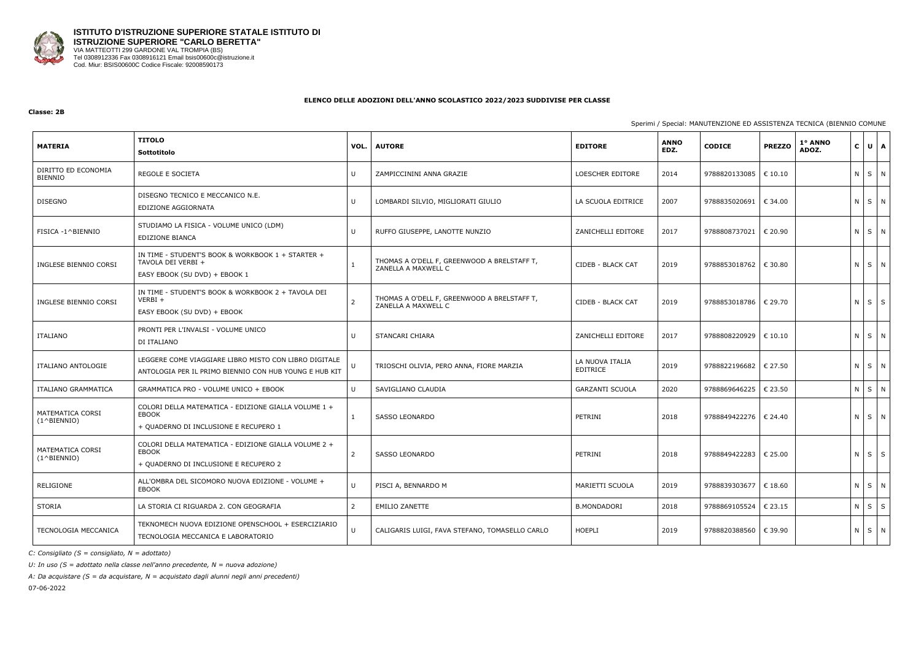

#### **Classe: 2B**

## Sperimi / Special: MANUTENZIONE ED ASSISTENZA TECNICA (BIENNIO COMUNE

| <b>MATERIA</b>                            | <b>TITOLO</b><br>Sottotitolo                                                                                    | VOL.           | <b>AUTORE</b>                                                      | <b>EDITORE</b>              | <b>ANNO</b><br>EDZ. | <b>CODICE</b>             | <b>PREZZO</b>    | 1° ANNO<br>ADOZ. |            | $C \cup A$  |   |
|-------------------------------------------|-----------------------------------------------------------------------------------------------------------------|----------------|--------------------------------------------------------------------|-----------------------------|---------------------|---------------------------|------------------|------------------|------------|-------------|---|
| DIRITTO ED ECONOMIA<br><b>BIENNIO</b>     | REGOLE E SOCIETA                                                                                                | U              | ZAMPICCININI ANNA GRAZIE                                           | LOESCHER EDITORE            | 2014                | 9788820133085             | € 10.10          |                  |            | $N$ $S$ $N$ |   |
| <b>DISEGNO</b>                            | DISEGNO TECNICO E MECCANICO N.E.<br>EDIZIONE AGGIORNATA                                                         | U              | LOMBARDI SILVIO, MIGLIORATI GIULIO                                 | LA SCUOLA EDITRICE          | 2007                | 9788835020691             | € 34.00          |                  |            | N S N       |   |
| FISICA -1^BIENNIO                         | STUDIAMO LA FISICA - VOLUME UNICO (LDM)<br>EDIZIONE BIANCA                                                      | U              | RUFFO GIUSEPPE, LANOTTE NUNZIO                                     | ZANICHELLI EDITORE          | 2017                | 9788808737021             | € 20.90          |                  | $N$ $S$    |             | N |
| INGLESE BIENNIO CORSI                     | IN TIME - STUDENT'S BOOK & WORKBOOK 1 + STARTER +<br>TAVOLA DEI VERBI +<br>EASY EBOOK (SU DVD) + EBOOK 1        |                | THOMAS A O'DELL F, GREENWOOD A BRELSTAFF T,<br>ZANELLA A MAXWELL C | CIDEB - BLACK CAT           | 2019                | 9788853018762             | € 30.80          |                  |            | N S N       |   |
| INGLESE BIENNIO CORSI                     | IN TIME - STUDENT'S BOOK & WORKBOOK 2 + TAVOLA DEI<br>$VERBI +$<br>EASY EBOOK (SU DVD) + EBOOK                  | $\overline{2}$ | THOMAS A O'DELL F, GREENWOOD A BRELSTAFF T,<br>ZANELLA A MAXWELL C | CIDEB - BLACK CAT           | 2019                | 9788853018786   € 29.70   |                  |                  | $N$ $S$    |             | S |
| ITALIANO                                  | PRONTI PER L'INVALSI - VOLUME UNICO<br>DI ITALIANO                                                              |                | STANCARI CHIARA                                                    | ZANICHELLI EDITORE          | 2017                | 9788808220929             | $\epsilon$ 10.10 |                  |            | N S N       |   |
| ITALIANO ANTOLOGIE                        | LEGGERE COME VIAGGIARE LIBRO MISTO CON LIBRO DIGITALE<br>ANTOLOGIA PER IL PRIMO BIENNIO CON HUB YOUNG E HUB KIT | U              | TRIOSCHI OLIVIA, PERO ANNA, FIORE MARZIA                           | LA NUOVA ITALIA<br>EDITRICE | 2019                | 9788822196682             | € 27.50          |                  | $N \mid S$ |             | N |
| ITALIANO GRAMMATICA                       | GRAMMATICA PRO - VOLUME UNICO + EBOOK                                                                           | U              | SAVIGLIANO CLAUDIA                                                 | <b>GARZANTI SCUOLA</b>      | 2020                | 9788869646225             | € 23.50          |                  | $N \mid S$ |             | N |
| MATEMATICA CORSI<br>$(1^{\wedge}BIENTO)$  | COLORI DELLA MATEMATICA - EDIZIONE GIALLA VOLUME 1 +<br>EBOOK<br>+ QUADERNO DI INCLUSIONE E RECUPERO 1          | $\mathbf{1}$   | <b>SASSO LEONARDO</b>                                              | PETRINI                     | 2018                | 9788849422276   € 24.40   |                  |                  |            | $N$ $S$ $N$ |   |
| MATEMATICA CORSI<br>$(1^{\wedge}BIFNNIO)$ | COLORI DELLA MATEMATICA - EDIZIONE GIALLA VOLUME 2 +<br>EBOOK<br>+ QUADERNO DI INCLUSIONE E RECUPERO 2          | $\overline{2}$ | <b>SASSO LEONARDO</b>                                              | PETRINI                     | 2018                | 9788849422283   € 25.00   |                  |                  | $N$ $S$    |             | S |
| RELIGIONE                                 | ALL'OMBRA DEL SICOMORO NUOVA EDIZIONE - VOLUME +<br>EBOOK                                                       | U              | PISCI A, BENNARDO M                                                | MARIETTI SCUOLA             | 2019                | 9788839303677   € 18.60   |                  |                  |            | N S N       |   |
| STORIA                                    | LA STORIA CI RIGUARDA 2. CON GEOGRAFIA                                                                          | $\overline{2}$ | <b>EMILIO ZANETTE</b>                                              | <b>B.MONDADORI</b>          | 2018                | 9788869105524 $\in$ 23.15 |                  |                  |            | $N$ $S$ $S$ |   |
| TECNOLOGIA MECCANICA                      | TEKNOMECH NUOVA EDIZIONE OPENSCHOOL + ESERCIZIARIO<br>TECNOLOGIA MECCANICA E LABORATORIO                        | U              | CALIGARIS LUIGI, FAVA STEFANO, TOMASELLO CARLO                     | HOEPLI                      | 2019                | 9788820388560             | $\epsilon$ 39.90 |                  |            | N S N       |   |

*C: Consigliato (S = consigliato, N = adottato)*

*U: In uso (S = adottato nella classe nell'anno precedente, N = nuova adozione)*

*A: Da acquistare (S = da acquistare, N = acquistato dagli alunni negli anni precedenti)*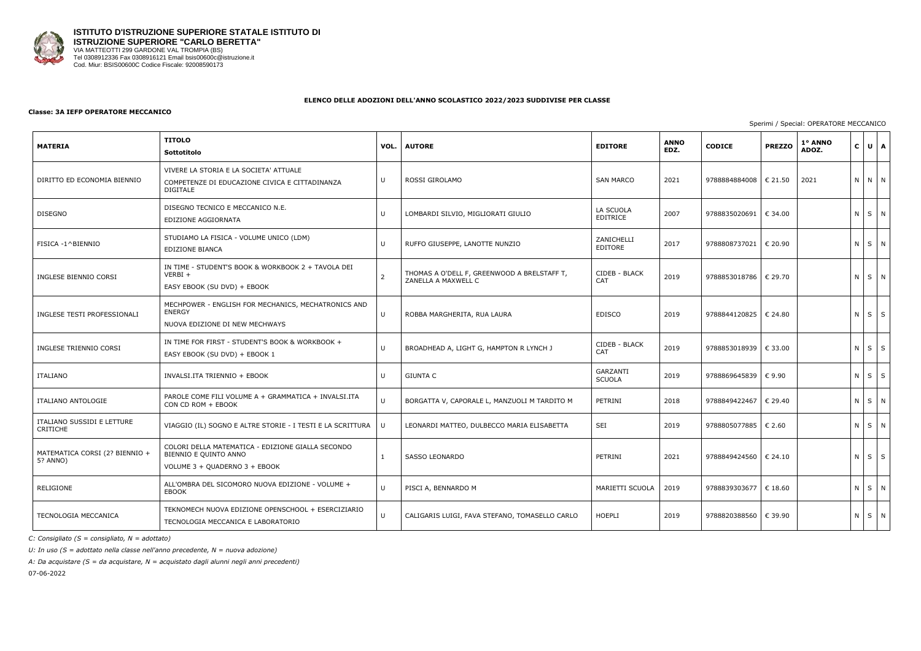

#### **Classe: 3A IEFP OPERATORE MECCANICO**

| <b>MATERIA</b>                                | <b>TITOLO</b><br>Sottotitolo                                                                                | VOL.           | <b>AUTORE</b>                                                      | <b>EDITORE</b>               | <b>ANNO</b><br>EDZ. | <b>CODICE</b> | <b>PREZZO</b>   | 1° ANNO<br>ADOZ. | $\mathsf{c}$ | UA                |
|-----------------------------------------------|-------------------------------------------------------------------------------------------------------------|----------------|--------------------------------------------------------------------|------------------------------|---------------------|---------------|-----------------|------------------|--------------|-------------------|
| DIRITTO ED ECONOMIA BIENNIO                   | VIVERE LA STORIA E LA SOCIETA' ATTUALE<br>COMPETENZE DI EDUCAZIONE CIVICA E CITTADINANZA<br><b>DIGITALE</b> | U              | ROSSI GIROLAMO                                                     | <b>SAN MARCO</b>             | 2021                | 9788884884008 | € 21.50         | 2021             |              | N N N             |
| <b>DISEGNO</b>                                | DISEGNO TECNICO E MECCANICO N.E.<br>EDIZIONE AGGIORNATA                                                     | U              | LOMBARDI SILVIO, MIGLIORATI GIULIO                                 | LA SCUOLA<br><b>EDITRICE</b> | 2007                | 9788835020691 | € 34.00         |                  |              | $N$ $S$ $N$       |
| FISICA -1^BIENNIO                             | STUDIAMO LA FISICA - VOLUME UNICO (LDM)<br>EDIZIONE BIANCA                                                  | U              | RUFFO GIUSEPPE, LANOTTE NUNZIO                                     | ZANICHELLI<br>EDITORE        | 2017                | 9788808737021 | € 20.90         |                  |              | N S N             |
| INGLESE BIENNIO CORSI                         | IN TIME - STUDENT'S BOOK & WORKBOOK 2 + TAVOLA DEI<br>$VERBI +$<br>EASY EBOOK (SU DVD) + EBOOK              | $\overline{2}$ | THOMAS A O'DELL F, GREENWOOD A BRELSTAFF T,<br>ZANELLA A MAXWELL C | CIDEB - BLACK<br><b>CAT</b>  | 2019                | 9788853018786 | € 29.70         |                  |              | N S N             |
| INGLESE TESTI PROFESSIONALI                   | MECHPOWER - ENGLISH FOR MECHANICS, MECHATRONICS AND<br><b>ENERGY</b><br>NUOVA EDIZIONE DI NEW MECHWAYS      | U              | ROBBA MARGHERITA, RUA LAURA                                        | <b>EDISCO</b>                | 2019                | 9788844120825 | € 24.80         |                  |              | $N$ $S$ $S$       |
| INGLESE TRIENNIO CORSI                        | IN TIME FOR FIRST - STUDENT'S BOOK & WORKBOOK +<br>EASY EBOOK (SU DVD) + EBOOK 1                            | U              | BROADHEAD A, LIGHT G, HAMPTON R LYNCH J                            | CIDEB - BLACK<br>CAT         | 2019                | 9788853018939 | € 33.00         |                  |              | $N$ $S$ $S$       |
| ITALIANO                                      | INVALSI.ITA TRIENNIO + EBOOK                                                                                | $\cup$         | <b>GIUNTA C</b>                                                    | GARZANTI<br><b>SCUOLA</b>    | 2019                | 9788869645839 | € 9.90          |                  |              | $N \mid S \mid S$ |
| <b>ITALIANO ANTOLOGIE</b>                     | PAROLE COME FILI VOLUME A + GRAMMATICA + INVALSI.ITA<br>CON CD ROM + EBOOK                                  | $\cup$         | BORGATTA V, CAPORALE L, MANZUOLI M TARDITO M                       | PETRINI                      | 2018                | 9788849422467 | € 29.40         |                  |              | N S N             |
| ITALIANO SUSSIDI E LETTURE<br><b>CRITICHE</b> | VIAGGIO (IL) SOGNO E ALTRE STORIE - I TESTI E LA SCRITTURA                                                  | IJ             | LEONARDI MATTEO, DULBECCO MARIA ELISABETTA                         | SEI                          | 2019                | 9788805077885 | $\epsilon$ 2.60 |                  |              | N S N             |
| MATEMATICA CORSI (2? BIENNIO +<br>5? ANNO)    | COLORI DELLA MATEMATICA - EDIZIONE GIALLA SECONDO<br>BIENNIO E QUINTO ANNO<br>VOLUME 3 + QUADERNO 3 + EBOOK |                | SASSO LEONARDO                                                     | PETRINI                      | 2021                | 9788849424560 | € 24.10         |                  |              | $N$ $S$ $S$       |
| <b>RELIGIONE</b>                              | ALL'OMBRA DEL SICOMORO NUOVA EDIZIONE - VOLUME +<br><b>EBOOK</b>                                            | $\sf U$        | PISCI A, BENNARDO M                                                | MARIETTI SCUOLA              | 2019                | 9788839303677 | € 18.60         |                  |              | $N$ $S$ $N$       |
| TECNOLOGIA MECCANICA                          | TEKNOMECH NUOVA EDIZIONE OPENSCHOOL + ESERCIZIARIO<br>TECNOLOGIA MECCANICA E LABORATORIO                    | U              | CALIGARIS LUIGI, FAVA STEFANO, TOMASELLO CARLO                     | <b>HOEPLI</b>                | 2019                | 9788820388560 | € 39.90         |                  |              | NSN               |

*C: Consigliato (S = consigliato, N = adottato)*

*U: In uso (S = adottato nella classe nell'anno precedente, N = nuova adozione)*

*A: Da acquistare (S = da acquistare, N = acquistato dagli alunni negli anni precedenti)*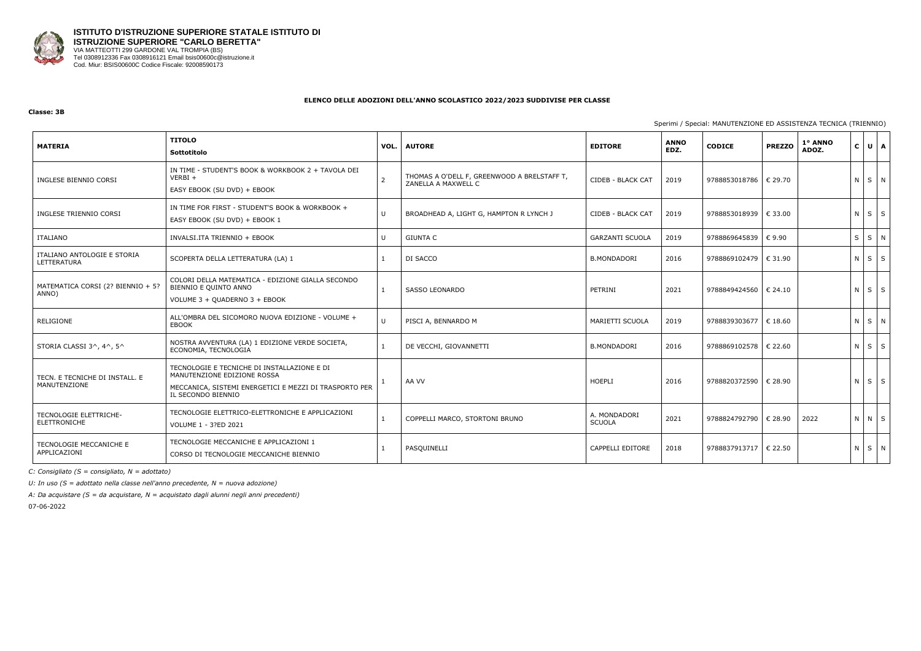

## **Classe: 3B**

Sperimi / Spe

| <b>MATERIA</b>                                 | <b>TITOLO</b><br>Sottotitolo                                                                                                                               | VOL.           | <b>AUTORE</b>                                                      | <b>EDITORE</b>                | <b>ANNO</b><br>EDZ. | <b>CODICE</b>           | <b>PREZZO</b> | 1° ANNO<br>ADOZ. | $\mathbf{C}$ | UA                |
|------------------------------------------------|------------------------------------------------------------------------------------------------------------------------------------------------------------|----------------|--------------------------------------------------------------------|-------------------------------|---------------------|-------------------------|---------------|------------------|--------------|-------------------|
| INGLESE BIENNIO CORSI                          | IN TIME - STUDENT'S BOOK & WORKBOOK 2 + TAVOLA DEI<br>$VERBI +$<br>EASY EBOOK (SU DVD) + EBOOK                                                             | $\overline{2}$ | THOMAS A O'DELL F, GREENWOOD A BRELSTAFF T,<br>ZANELLA A MAXWELL C | <b>CIDEB - BLACK CAT</b>      | 2019                | 9788853018786   € 29.70 |               |                  |              | N S N             |
| INGLESE TRIENNIO CORSI                         | IN TIME FOR FIRST - STUDENT'S BOOK & WORKBOOK +<br>EASY EBOOK (SU DVD) + EBOOK 1                                                                           | U              | BROADHEAD A, LIGHT G, HAMPTON R LYNCH J                            | CIDEB - BLACK CAT             | 2019                | 9788853018939   € 33.00 |               |                  |              | $N$ $S$ $S$       |
| ITALIANO                                       | INVALSI.ITA TRIENNIO + EBOOK                                                                                                                               | U              | <b>GIUNTA C</b>                                                    | <b>GARZANTI SCUOLA</b>        | 2019                | 9788869645839 € 9.90    |               |                  | $S \mid S$   | N                 |
| ITALIANO ANTOLOGIE E STORIA<br>LETTERATURA     | SCOPERTA DELLA LETTERATURA (LA) 1                                                                                                                          |                | DI SACCO                                                           | <b>B.MONDADORI</b>            | 2016                | 9788869102479   € 31.90 |               |                  |              | $N \mid S \mid S$ |
| MATEMATICA CORSI (2? BIENNIO + 5?<br>ANNO)     | COLORI DELLA MATEMATICA - EDIZIONE GIALLA SECONDO<br>BIENNIO E QUINTO ANNO<br>VOLUME 3 + QUADERNO 3 + EBOOK                                                |                | <b>SASSO LEONARDO</b>                                              | PETRINI                       | 2021                | 9788849424560   € 24.10 |               |                  |              | $N \mid S \mid S$ |
| RELIGIONE                                      | ALL'OMBRA DEL SICOMORO NUOVA EDIZIONE - VOLUME +<br><b>EBOOK</b>                                                                                           | U              | PISCI A, BENNARDO M                                                | MARIETTI SCUOLA               | 2019                | 9788839303677   € 18.60 |               |                  |              | NS N              |
| STORIA CLASSI 3^, 4^, 5^                       | NOSTRA AVVENTURA (LA) 1 EDIZIONE VERDE SOCIETA,<br>ECONOMIA, TECNOLOGIA                                                                                    |                | DE VECCHI, GIOVANNETTI                                             | <b>B.MONDADORI</b>            | 2016                | 9788869102578   € 22.60 |               |                  |              | N S S             |
| TECN. E TECNICHE DI INSTALL. E<br>MANUTENZIONE | TECNOLOGIE E TECNICHE DI INSTALLAZIONE E DI<br>MANUTENZIONE EDIZIONE ROSSA<br>MECCANICA, SISTEMI ENERGETICI E MEZZI DI TRASPORTO PER<br>IL SECONDO BIENNIO |                | AA VV                                                              | <b>HOEPLI</b>                 | 2016                | 9788820372590   € 28.90 |               |                  |              | $N$ $S$ $S$       |
| TECNOLOGIE ELETTRICHE-<br>ELETTRONICHE         | TECNOLOGIE ELETTRICO-ELETTRONICHE E APPLICAZIONI<br>VOLUME 1 - 3?ED 2021                                                                                   |                | COPPELLI MARCO, STORTONI BRUNO                                     | A. MONDADORI<br><b>SCUOLA</b> | 2021                | 9788824792790           | € 28.90       | 2022             |              | $N$ $N$ $S$       |
| TECNOLOGIE MECCANICHE E<br>APPLICAZIONI        | TECNOLOGIE MECCANICHE E APPLICAZIONI 1<br>CORSO DI TECNOLOGIE MECCANICHE BIENNIO                                                                           |                | PASQUINELLI                                                        | <b>CAPPELLI EDITORE</b>       | 2018                | 9788837913717   € 22.50 |               |                  |              | NS N              |

*C: Consigliato (S = consigliato, N = adottato)*

*U: In uso (S = adottato nella classe nell'anno precedente, N = nuova adozione)*

*A: Da acquistare (S = da acquistare, N = acquistato dagli alunni negli anni precedenti)*

|  |  | ecial: MANUTENZIONE ED ASSISTENZA TECNICA (TRIENNIO) |  |  |
|--|--|------------------------------------------------------|--|--|
|  |  |                                                      |  |  |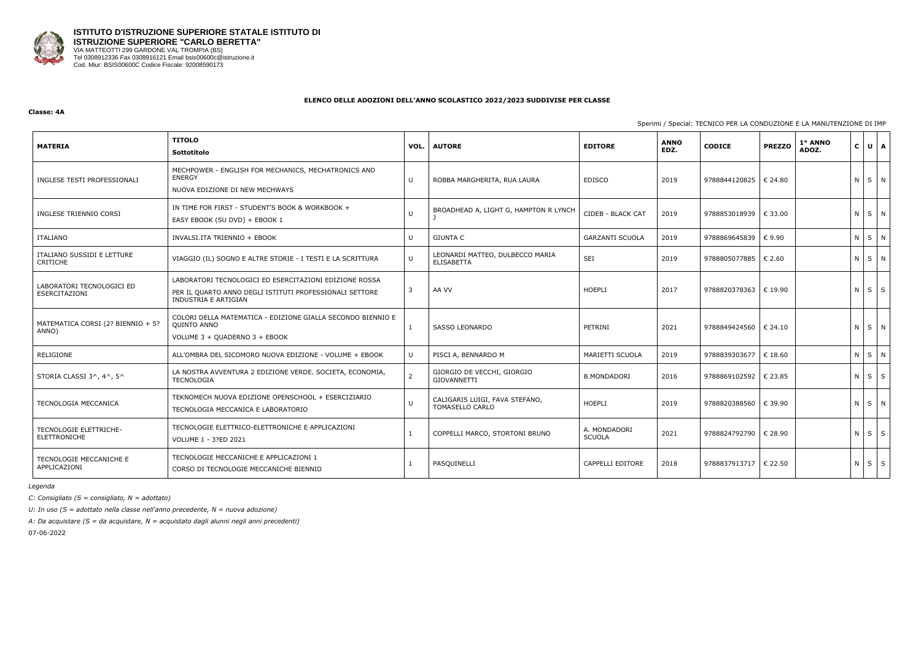

#### **Classe: 4A**

Sperimi / Special:

| <b>MATERIA</b>                                | <b>TITOLO</b><br>Sottotitolo                                                                                                              | VOL.          | <b>AUTORE</b>                                        | <b>EDITORE</b>                | <b>ANNO</b><br>EDZ. | <b>CODICE</b>           | <b>PREZZO</b>    | 1º ANNO<br>ADOZ. | $\mathsf{C}$ | U A               |
|-----------------------------------------------|-------------------------------------------------------------------------------------------------------------------------------------------|---------------|------------------------------------------------------|-------------------------------|---------------------|-------------------------|------------------|------------------|--------------|-------------------|
| INGLESE TESTI PROFESSIONALI                   | MECHPOWER - ENGLISH FOR MECHANICS, MECHATRONICS AND<br><b>ENERGY</b><br>NUOVA EDIZIONE DI NEW MECHWAYS                                    | U             | ROBBA MARGHERITA, RUA LAURA                          | <b>EDISCO</b>                 | 2019                | 9788844120825   € 24.80 |                  |                  |              | NSN               |
| INGLESE TRIENNIO CORSI                        | IN TIME FOR FIRST - STUDENT'S BOOK & WORKBOOK +<br>EASY EBOOK (SU DVD) + EBOOK 1                                                          | U             | BROADHEAD A, LIGHT G, HAMPTON R LYNCH                | CIDEB - BLACK CAT             | 2019                | 9788853018939   € 33.00 |                  |                  |              | N S N             |
| <b>ITALIANO</b>                               | INVALSI.ITA TRIENNIO + EBOOK                                                                                                              | U             | <b>GIUNTA C</b>                                      | <b>GARZANTI SCUOLA</b>        | 2019                | 9788869645839           | € 9.90           |                  | N S          | N                 |
| ITALIANO SUSSIDI E LETTURE<br><b>CRITICHE</b> | VIAGGIO (IL) SOGNO E ALTRE STORIE - I TESTI E LA SCRITTURA                                                                                | U             | LEONARDI MATTEO, DULBECCO MARIA<br><b>ELISABETTA</b> | SEI                           | 2019                | 9788805077885           | € 2.60           |                  |              | NS N              |
| LABORATORI TECNOLOGICI ED<br>ESERCITAZIONI    | LABORATORI TECNOLOGICI ED ESERCITAZIONI EDIZIONE ROSSA<br>PER IL QUARTO ANNO DEGLI ISTITUTI PROFESSIONALI SETTORE<br>INDUSTRIA E ARTIGIAN | 3             | AA VV                                                | <b>HOEPLI</b>                 | 2017                | 9788820378363           | $\epsilon$ 19.90 |                  |              | $N$ $S$ $S$       |
| MATEMATICA CORSI (2? BIENNIO + 5?<br>ANNO)    | COLORI DELLA MATEMATICA - EDIZIONE GIALLA SECONDO BIENNIO E<br>QUINTO ANNO<br>VOLUME 3 + QUADERNO 3 + EBOOK                               |               | <b>SASSO LEONARDO</b>                                | PETRINI                       | 2021                | 9788849424560           | € 24.10          |                  |              | N S N             |
| RELIGIONE                                     | ALL'OMBRA DEL SICOMORO NUOVA EDIZIONE - VOLUME + EBOOK                                                                                    | U             | PISCI A, BENNARDO M                                  | MARIETTI SCUOLA               | 2019                | 9788839303677           | € 18.60          |                  | $N$ $S$      | N                 |
| STORIA CLASSI 3^, 4^, 5^                      | LA NOSTRA AVVENTURA 2 EDIZIONE VERDE. SOCIETA, ECONOMIA,<br>TECNOLOGIA                                                                    | $\mathcal{P}$ | GIORGIO DE VECCHI, GIORGIO<br>GIOVANNETTI            | <b>B.MONDADORI</b>            | 2016                | 9788869102592           | € 23.85          |                  | $N$ $S$      | S                 |
| TECNOLOGIA MECCANICA                          | TEKNOMECH NUOVA EDIZIONE OPENSCHOOL + ESERCIZIARIO<br>TECNOLOGIA MECCANICA E LABORATORIO                                                  |               | CALIGARIS LUIGI, FAVA STEFANO,<br>TOMASELLO CARLO    | <b>HOEPLI</b>                 | 2019                | 9788820388560           | $\epsilon$ 39.90 |                  |              | N S N             |
| TECNOLOGIE ELETTRICHE-<br>ELETTRONICHE        | TECNOLOGIE ELETTRICO-ELETTRONICHE E APPLICAZIONI<br>VOLUME 1 - 3?ED 2021                                                                  |               | COPPELLI MARCO, STORTONI BRUNO                       | A. MONDADORI<br><b>SCUOLA</b> | 2021                | 9788824792790           | € 28.90          |                  |              | $N \mid S \mid S$ |
| TECNOLOGIE MECCANICHE E<br>APPLICAZIONI       | TECNOLOGIE MECCANICHE E APPLICAZIONI 1<br>CORSO DI TECNOLOGIE MECCANICHE BIENNIO                                                          |               | PASQUINELLI                                          | CAPPELLI EDITORE              | 2018                | 9788837913717           | € 22.50          |                  | $N$ $S$      | S                 |

*Legenda*

*C: Consigliato (S = consigliato, N = adottato)*

*U: In uso (S = adottato nella classe nell'anno precedente, N = nuova adozione)*

*A: Da acquistare (S = da acquistare, N = acquistato dagli alunni negli anni precedenti)*

|  | TECNICO PER LA CONDUZIONE E LA MANUTENZIONE DI IMP |
|--|----------------------------------------------------|
|  |                                                    |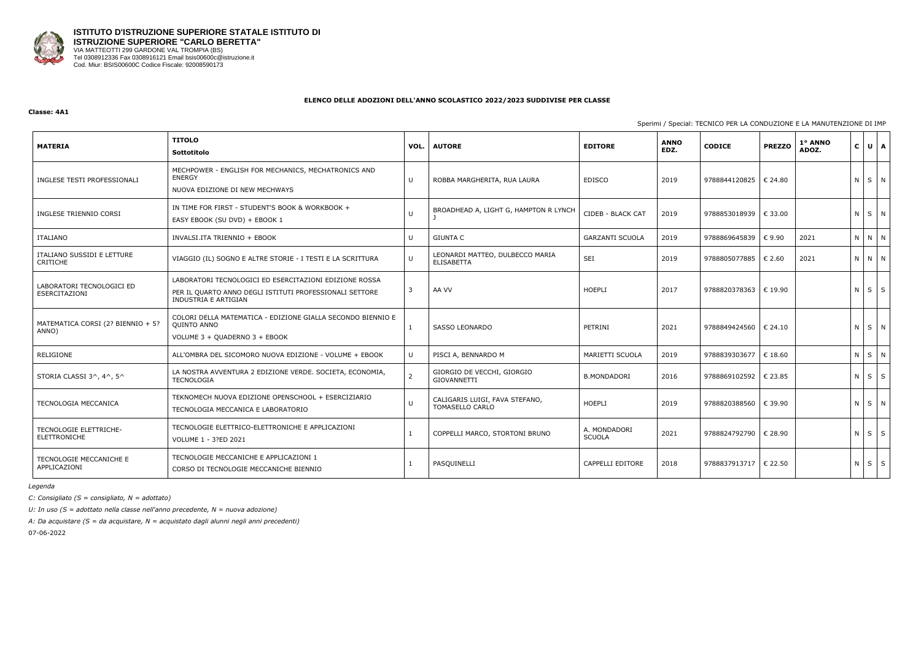

#### **Classe: 4A1**

Sperimi / Special:

| <b>MATERIA</b>                                | <b>TITOLO</b><br>Sottotitolo                                                                                                              | VOL. | <b>AUTORE</b>                                        | <b>EDITORE</b>                | <b>ANNO</b><br>EDZ. | <b>CODICE</b>           | <b>PREZZO</b> | 1° ANNO<br>ADOZ. | $\mathsf{C}$ | $\overline{A}$<br>$\cup$ |
|-----------------------------------------------|-------------------------------------------------------------------------------------------------------------------------------------------|------|------------------------------------------------------|-------------------------------|---------------------|-------------------------|---------------|------------------|--------------|--------------------------|
| INGLESE TESTI PROFESSIONALI                   | MECHPOWER - ENGLISH FOR MECHANICS, MECHATRONICS AND<br><b>ENERGY</b><br>NUOVA EDIZIONE DI NEW MECHWAYS                                    | U    | ROBBA MARGHERITA, RUA LAURA                          | <b>EDISCO</b>                 | 2019                | 9788844120825   € 24.80 |               |                  |              | NSN                      |
| INGLESE TRIENNIO CORSI                        | IN TIME FOR FIRST - STUDENT'S BOOK & WORKBOOK +<br>EASY EBOOK (SU DVD) + EBOOK 1                                                          | U    | BROADHEAD A, LIGHT G, HAMPTON R LYNCH                | CIDEB - BLACK CAT             | 2019                | 9788853018939   € 33.00 |               |                  |              | NS N                     |
| ITALIANO                                      | INVALSI.ITA TRIENNIO + EBOOK                                                                                                              | U    | <b>GIUNTA C</b>                                      | <b>GARZANTI SCUOLA</b>        | 2019                | 9788869645839           | € 9.90        | 2021             |              | N N N                    |
| ITALIANO SUSSIDI E LETTURE<br><b>CRITICHE</b> | VIAGGIO (IL) SOGNO E ALTRE STORIE - I TESTI E LA SCRITTURA                                                                                | U    | LEONARDI MATTEO, DULBECCO MARIA<br><b>ELISABETTA</b> | SEI                           | 2019                | 9788805077885           | € 2.60        | 2021             |              | N N N                    |
| LABORATORI TECNOLOGICI ED<br>ESERCITAZIONI    | LABORATORI TECNOLOGICI ED ESERCITAZIONI EDIZIONE ROSSA<br>PER IL QUARTO ANNO DEGLI ISTITUTI PROFESSIONALI SETTORE<br>INDUSTRIA E ARTIGIAN | 3    | AA VV                                                | <b>HOEPLI</b>                 | 2017                | 9788820378363           | € 19.90       |                  |              | $N$ $S$ $S$              |
| MATEMATICA CORSI (2? BIENNIO + 5?<br>ANNO)    | COLORI DELLA MATEMATICA - EDIZIONE GIALLA SECONDO BIENNIO E<br><b>QUINTO ANNO</b><br>VOLUME 3 + QUADERNO 3 + EBOOK                        |      | <b>SASSO LEONARDO</b>                                | PETRINI                       | 2021                | 9788849424560           | € 24.10       |                  |              | NSN                      |
| RELIGIONE                                     | ALL'OMBRA DEL SICOMORO NUOVA EDIZIONE - VOLUME + EBOOK                                                                                    | U.   | PISCI A, BENNARDO M                                  | MARIETTI SCUOLA               | 2019                | 9788839303677           | € 18.60       |                  | $N$ $S$      | N                        |
| STORIA CLASSI 3^, 4^, 5^                      | LA NOSTRA AVVENTURA 2 EDIZIONE VERDE. SOCIETA, ECONOMIA,<br><b>TECNOLOGIA</b>                                                             |      | GIORGIO DE VECCHI, GIORGIO<br>GIOVANNETTI            | <b>B.MONDADORI</b>            | 2016                | 9788869102592           | € 23.85       |                  | $N$ $S$      | S                        |
| TECNOLOGIA MECCANICA                          | TEKNOMECH NUOVA EDIZIONE OPENSCHOOL + ESERCIZIARIO<br>TECNOLOGIA MECCANICA E LABORATORIO                                                  |      | CALIGARIS LUIGI, FAVA STEFANO,<br>TOMASELLO CARLO    | <b>HOEPLI</b>                 | 2019                | 9788820388560           | € 39.90       |                  |              | NS N                     |
| TECNOLOGIE ELETTRICHE-<br><b>ELETTRONICHE</b> | TECNOLOGIE ELETTRICO-ELETTRONICHE E APPLICAZIONI<br>VOLUME 1 - 3?ED 2021                                                                  |      | COPPELLI MARCO, STORTONI BRUNO                       | A. MONDADORI<br><b>SCUOLA</b> | 2021                | 9788824792790 € 28.90   |               |                  | $N$ $S$      | S                        |
| TECNOLOGIE MECCANICHE E<br>APPLICAZIONI       | TECNOLOGIE MECCANICHE E APPLICAZIONI 1<br>CORSO DI TECNOLOGIE MECCANICHE BIENNIO                                                          |      | PASQUINELLI                                          | CAPPELLI EDITORE              | 2018                | 9788837913717   € 22.50 |               |                  | $N \mid S$   | S                        |

*Legenda*

*C: Consigliato (S = consigliato, N = adottato)*

*U: In uso (S = adottato nella classe nell'anno precedente, N = nuova adozione)*

*A: Da acquistare (S = da acquistare, N = acquistato dagli alunni negli anni precedenti)*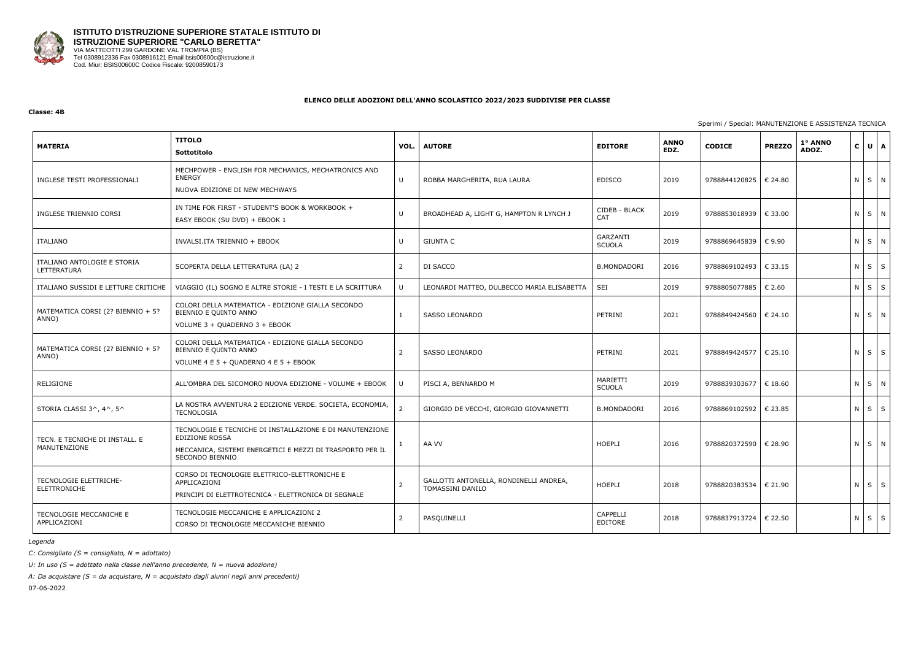

#### **Classe: 4B**

## Sperimi / Special: MANUTENZIONE E ASSISTENZA TECNICA

| <b>MATERIA</b>                                 | <b>TITOLO</b><br>Sottotitolo                                                                                                                               | VOL.           | <b>AUTORE</b>                                                     | <b>EDITORE</b>                   | <b>ANNO</b><br>EDZ. | <b>CODICE</b> | <b>PREZZO</b>    | 1° ANNO<br>ADOZ. | $C$ $U$    | $\mathbf{A}$ |
|------------------------------------------------|------------------------------------------------------------------------------------------------------------------------------------------------------------|----------------|-------------------------------------------------------------------|----------------------------------|---------------------|---------------|------------------|------------------|------------|--------------|
| INGLESE TESTI PROFESSIONALI                    | MECHPOWER - ENGLISH FOR MECHANICS, MECHATRONICS AND<br><b>ENERGY</b><br>NUOVA EDIZIONE DI NEW MECHWAYS                                                     | $\sf U$        | ROBBA MARGHERITA, RUA LAURA                                       | <b>EDISCO</b>                    | 2019                | 9788844120825 | € 24.80          |                  | N S N      |              |
| INGLESE TRIENNIO CORSI                         | IN TIME FOR FIRST - STUDENT'S BOOK & WORKBOOK +<br>EASY EBOOK (SU DVD) + EBOOK 1                                                                           | U              | BROADHEAD A, LIGHT G, HAMPTON R LYNCH J                           | CIDEB - BLACK<br>CAT             | 2019                | 9788853018939 | € 33.00          |                  | N S N      |              |
| ITALIANO                                       | INVALSI.ITA TRIENNIO + EBOOK                                                                                                                               | U              | <b>GIUNTA C</b>                                                   | <b>GARZANTI</b><br><b>SCUOLA</b> | 2019                | 9788869645839 | € 9.90           |                  | N S N      |              |
| ITALIANO ANTOLOGIE E STORIA<br>LETTERATURA     | SCOPERTA DELLA LETTERATURA (LA) 2                                                                                                                          | $2^{\circ}$    | DI SACCO                                                          | <b>B.MONDADORI</b>               | 2016                | 9788869102493 | €33.15           |                  | $N \mid S$ | $\mathsf{S}$ |
| ITALIANO SUSSIDI E LETTURE CRITICHE            | VIAGGIO (IL) SOGNO E ALTRE STORIE - I TESTI E LA SCRITTURA                                                                                                 | $\cup$         | LEONARDI MATTEO, DULBECCO MARIA ELISABETTA                        | SEI                              | 2019                | 9788805077885 | $\epsilon$ 2.60  |                  | $N$ $S$    | $\mathsf{S}$ |
| MATEMATICA CORSI (2? BIENNIO + 5?<br>ANNO)     | COLORI DELLA MATEMATICA - EDIZIONE GIALLA SECONDO<br>BIENNIO E QUINTO ANNO<br>VOLUME 3 + QUADERNO 3 + EBOOK                                                | $\mathbf{1}$   | <b>SASSO LEONARDO</b>                                             | PETRINI                          | 2021                | 9788849424560 | € 24.10          |                  | N S N      |              |
| MATEMATICA CORSI (2? BIENNIO + 5?<br>ANNO)     | COLORI DELLA MATEMATICA - EDIZIONE GIALLA SECONDO<br>BIENNIO E QUINTO ANNO<br>VOLUME 4 E 5 + QUADERNO 4 E 5 + EBOOK                                        | $\overline{2}$ | <b>SASSO LEONARDO</b>                                             | PETRINI                          | 2021                | 9788849424577 | $\epsilon$ 25.10 |                  | $N$ $S$    | S            |
| RELIGIONE                                      | ALL'OMBRA DEL SICOMORO NUOVA EDIZIONE - VOLUME + EBOOK                                                                                                     | U              | PISCI A, BENNARDO M                                               | MARIETTI<br>SCUOLA               | 2019                | 9788839303677 | $\epsilon$ 18.60 |                  | $N$ $S$    | N            |
| STORIA CLASSI 3^, 4^, 5^                       | LA NOSTRA AVVENTURA 2 EDIZIONE VERDE. SOCIETA, ECONOMIA,<br><b>TECNOLOGIA</b>                                                                              | $\overline{2}$ | GIORGIO DE VECCHI, GIORGIO GIOVANNETTI                            | <b>B.MONDADORI</b>               | 2016                | 9788869102592 | € 23.85          |                  | $N$ $S$    | $\mathsf{S}$ |
| TECN. E TECNICHE DI INSTALL. E<br>MANUTENZIONE | TECNOLOGIE E TECNICHE DI INSTALLAZIONE E DI MANUTENZIONE<br>EDIZIONE ROSSA<br>MECCANICA, SISTEMI ENERGETICI E MEZZI DI TRASPORTO PER IL<br>SECONDO BIENNIO | $\mathbf{1}$   | AA VV                                                             | <b>HOEPLI</b>                    | 2016                | 9788820372590 | € 28.90          |                  | N S N      |              |
| TECNOLOGIE ELETTRICHE-<br>ELETTRONICHE         | CORSO DI TECNOLOGIE ELETTRICO-ELETTRONICHE E<br>APPLICAZIONI<br>PRINCIPI DI ELETTROTECNICA - ELETTRONICA DI SEGNALE                                        | $\overline{2}$ | GALLOTTI ANTONELLA, RONDINELLI ANDREA,<br><b>TOMASSINI DANILO</b> | <b>HOEPLI</b>                    | 2018                | 9788820383534 | € 21.90          |                  | N S        | S            |
| TECNOLOGIE MECCANICHE E<br>APPLICAZIONI        | TECNOLOGIE MECCANICHE E APPLICAZIONI 2<br>CORSO DI TECNOLOGIE MECCANICHE BIENNIO                                                                           | $\overline{2}$ | PASQUINELLI                                                       | <b>CAPPELLI</b><br>EDITORE       | 2018                | 9788837913724 | € 22.50          |                  | $N \mid S$ | $\mathsf{S}$ |

*Legenda*

*C: Consigliato (S = consigliato, N = adottato)*

*U: In uso (S = adottato nella classe nell'anno precedente, N = nuova adozione)*

*A: Da acquistare (S = da acquistare, N = acquistato dagli alunni negli anni precedenti)*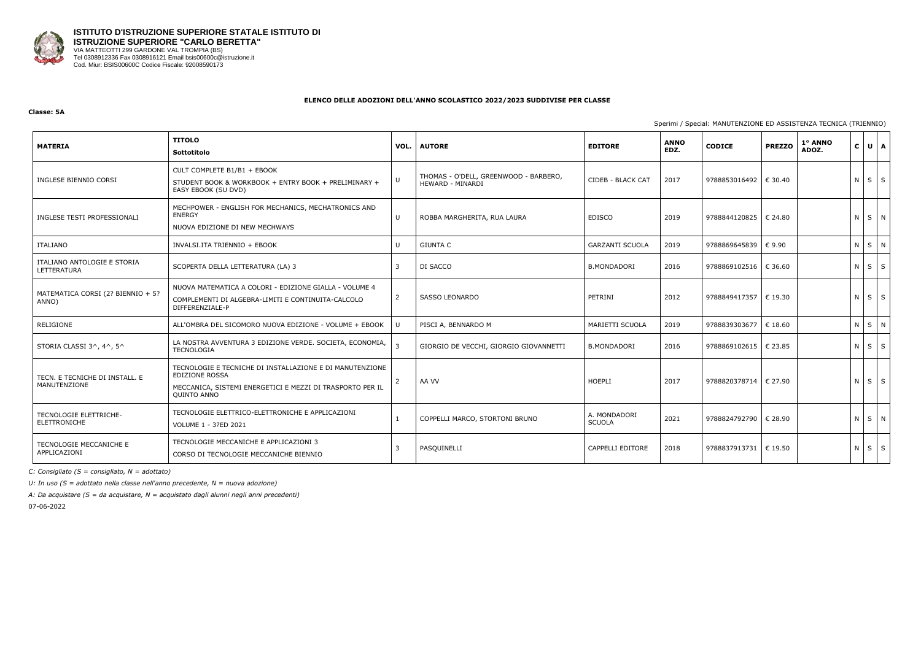

## **Classe: 5A**

Sperimi / Spe

| <b>MATERIA</b>                                 | <b>TITOLO</b><br><b>Sottotitolo</b>                                                                                                                           | VOL.           | <b>AUTORE</b>                                             | <b>EDITORE</b>                | <b>ANNO</b><br>EDZ. | <b>CODICE</b>           | <b>PREZZO</b> | 1º ANNO<br>ADOZ. | $\mathbf{C}$ | UA                |   |
|------------------------------------------------|---------------------------------------------------------------------------------------------------------------------------------------------------------------|----------------|-----------------------------------------------------------|-------------------------------|---------------------|-------------------------|---------------|------------------|--------------|-------------------|---|
| INGLESE BIENNIO CORSI                          | CULT COMPLETE B1/B1 + EBOOK<br>STUDENT BOOK & WORKBOOK + ENTRY BOOK + PRELIMINARY +<br>EASY EBOOK (SU DVD)                                                    | U              | THOMAS - O'DELL, GREENWOOD - BARBERO,<br>HEWARD - MINARDI | CIDEB - BLACK CAT             | 2017                | 9788853016492           | € 30.40       |                  |              | $N \mid S \mid S$ |   |
| INGLESE TESTI PROFESSIONALI                    | MECHPOWER - ENGLISH FOR MECHANICS, MECHATRONICS AND<br><b>ENERGY</b><br>NUOVA EDIZIONE DI NEW MECHWAYS                                                        | U              | ROBBA MARGHERITA, RUA LAURA                               | <b>EDISCO</b>                 | 2019                | 9788844120825   € 24.80 |               |                  |              | NS N              |   |
| ITALIANO                                       | INVALSI.ITA TRIENNIO + EBOOK                                                                                                                                  | U              | <b>GIUNTA C</b>                                           | <b>GARZANTI SCUOLA</b>        | 2019                | 9788869645839 € 9.90    |               |                  | $N$ $S$      |                   | N |
| ITALIANO ANTOLOGIE E STORIA<br>LETTERATURA     | SCOPERTA DELLA LETTERATURA (LA) 3                                                                                                                             | 3              | DI SACCO                                                  | <b>B.MONDADORI</b>            | 2016                | 9788869102516   € 36.60 |               |                  |              | $N \mid S \mid S$ |   |
| MATEMATICA CORSI (2? BIENNIO + 5?<br>ANNO)     | NUOVA MATEMATICA A COLORI - EDIZIONE GIALLA - VOLUME 4<br>COMPLEMENTI DI ALGEBRA-LIMITI E CONTINUITA-CALCOLO<br>DIFFERENZIALE-P                               | $\overline{2}$ | SASSO LEONARDO                                            | PETRINI                       | 2012                | 9788849417357   € 19.30 |               |                  |              | $N \mid S \mid S$ |   |
| RELIGIONE                                      | ALL'OMBRA DEL SICOMORO NUOVA EDIZIONE - VOLUME + EBOOK                                                                                                        |                | PISCI A, BENNARDO M                                       | MARIETTI SCUOLA               | 2019                | 9788839303677 € 18.60   |               |                  | $N \mid S$   | N                 |   |
| STORIA CLASSI 3^, 4^, 5^                       | LA NOSTRA AVVENTURA 3 EDIZIONE VERDE. SOCIETA, ECONOMIA,<br><b>TECNOLOGIA</b>                                                                                 |                | GIORGIO DE VECCHI, GIORGIO GIOVANNETTI                    | <b>B.MONDADORI</b>            | 2016                | 9788869102615           | € 23.85       |                  |              | $N \mid S \mid S$ |   |
| TECN. E TECNICHE DI INSTALL. E<br>MANUTENZIONE | TECNOLOGIE E TECNICHE DI INSTALLAZIONE E DI MANUTENZIONE<br><b>EDIZIONE ROSSA</b><br>MECCANICA, SISTEMI ENERGETICI E MEZZI DI TRASPORTO PER IL<br>QUINTO ANNO |                | AA VV                                                     | HOEPLI                        | 2017                | 9788820378714   € 27.90 |               |                  |              | $N$ $S$ $S$       |   |
| <b>TECNOLOGIE ELETTRICHE-</b><br>ELETTRONICHE  | TECNOLOGIE ELETTRICO-ELETTRONICHE E APPLICAZIONI<br>VOLUME 1 - 3?ED 2021                                                                                      |                | COPPELLI MARCO, STORTONI BRUNO                            | A. MONDADORI<br><b>SCUOLA</b> | 2021                | 9788824792790 € 28.90   |               |                  |              | N S N             |   |
| TECNOLOGIE MECCANICHE E<br>APPLICAZIONI        | TECNOLOGIE MECCANICHE E APPLICAZIONI 3<br>CORSO DI TECNOLOGIE MECCANICHE BIENNIO                                                                              |                | PASQUINELLI                                               | CAPPELLI EDITORE              | 2018                | 9788837913731   € 19.50 |               |                  |              | $N$ $S$ $S$       |   |

*C: Consigliato (S = consigliato, N = adottato)*

*U: In uso (S = adottato nella classe nell'anno precedente, N = nuova adozione)*

*A: Da acquistare (S = da acquistare, N = acquistato dagli alunni negli anni precedenti)*

|  |  | ecial: MANUTENZIONE ED ASSISTENZA TECNICA (TRIENNIO) |  |  |
|--|--|------------------------------------------------------|--|--|
|  |  |                                                      |  |  |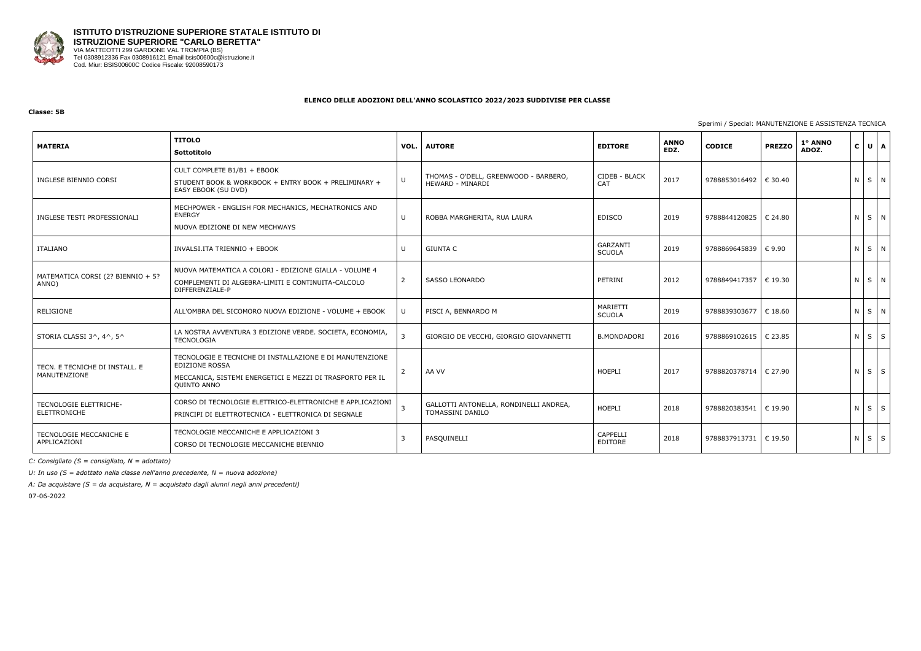

## **Classe: 5B**

## Sperimi / Special: MANUTENZIONE E ASSISTENZA TECNICA

| <b>MATERIA</b>                                 | <b>TITOLO</b><br>Sottotitolo                                                                                                                                  |                | <b>VOL.   AUTORE</b>                                       | <b>EDITORE</b>                    | <b>ANNO</b><br>EDZ. | <b>CODICE</b>           | <b>PREZZO</b> | 1° ANNO<br>ADOZ. | $C \bigcup U \bigcap A$ |   |
|------------------------------------------------|---------------------------------------------------------------------------------------------------------------------------------------------------------------|----------------|------------------------------------------------------------|-----------------------------------|---------------------|-------------------------|---------------|------------------|-------------------------|---|
| INGLESE BIENNIO CORSI                          | CULT COMPLETE B1/B1 + EBOOK<br>STUDENT BOOK & WORKBOOK + ENTRY BOOK + PRELIMINARY +<br>EASY EBOOK (SU DVD)                                                    | U              | THOMAS - O'DELL, GREENWOOD - BARBERO,<br>HEWARD - MINARDI  | CIDEB - BLACK<br>CAT              | 2017                | 9788853016492           | € 30.40       |                  | N S N                   |   |
| INGLESE TESTI PROFESSIONALI                    | MECHPOWER - ENGLISH FOR MECHANICS, MECHATRONICS AND<br>ENERGY<br>NUOVA EDIZIONE DI NEW MECHWAYS                                                               | U              | ROBBA MARGHERITA, RUA LAURA                                | <b>EDISCO</b>                     | 2019                | 9788844120825           | € 24.80       |                  | N S N                   |   |
| ITALIANO                                       | INVALSI.ITA TRIENNIO + EBOOK                                                                                                                                  | U              | <b>GIUNTA C</b>                                            | GARZANTI<br><b>SCUOLA</b>         | 2019                | 9788869645839           | €9.90         |                  | N S N                   |   |
| MATEMATICA CORSI (2? BIENNIO + 5?<br>ANNO)     | NUOVA MATEMATICA A COLORI - EDIZIONE GIALLA - VOLUME 4<br>COMPLEMENTI DI ALGEBRA-LIMITI E CONTINUITA-CALCOLO<br>DIFFERENZIALE-P                               | 2              | SASSO LEONARDO                                             | PETRINI                           | 2012                | 9788849417357           | € 19.30       |                  | N S N                   |   |
| RELIGIONE                                      | ALL'OMBRA DEL SICOMORO NUOVA EDIZIONE - VOLUME + EBOOK                                                                                                        | U              | PISCI A, BENNARDO M                                        | MARIETTI<br><b>SCUOLA</b>         | 2019                | 9788839303677           | $\in$ 18.60   |                  | NSN                     |   |
| STORIA CLASSI 3^, 4^, 5^                       | LA NOSTRA AVVENTURA 3 EDIZIONE VERDE. SOCIETA, ECONOMIA,<br><b>TECNOLOGIA</b>                                                                                 | $\overline{3}$ | GIORGIO DE VECCHI, GIORGIO GIOVANNETTI                     | <b>B.MONDADORI</b>                | 2016                | 9788869102615           | € 23.85       |                  | $N \mid S \mid S$       |   |
| TECN. E TECNICHE DI INSTALL. E<br>MANUTENZIONE | TECNOLOGIE E TECNICHE DI INSTALLAZIONE E DI MANUTENZIONE<br><b>EDIZIONE ROSSA</b><br>MECCANICA, SISTEMI ENERGETICI E MEZZI DI TRASPORTO PER IL<br>QUINTO ANNO | 2              | AA VV                                                      | HOEPLI                            | 2017                | 9788820378714   € 27.90 |               |                  | $N \mid S \mid S$       |   |
| TECNOLOGIE ELETTRICHE-<br>ELETTRONICHE         | CORSO DI TECNOLOGIE ELETTRICO-ELETTRONICHE E APPLICAZIONI<br>PRINCIPI DI ELETTROTECNICA - ELETTRONICA DI SEGNALE                                              | $\overline{3}$ | GALLOTTI ANTONELLA, RONDINELLI ANDREA,<br>TOMASSINI DANILO | HOEPLI                            | 2018                | 9788820383541           | € 19.90       |                  | $N \mid S \mid S$       |   |
| <b>TECNOLOGIE MECCANICHE E</b><br>APPLICAZIONI | TECNOLOGIE MECCANICHE E APPLICAZIONI 3<br>CORSO DI TECNOLOGIE MECCANICHE BIENNIO                                                                              | 3              | PASQUINELLI                                                | <b>CAPPELLI</b><br><b>EDITORE</b> | 2018                | 9788837913731   € 19.50 |               |                  | $N$ $S$                 | S |

*C: Consigliato (S = consigliato, N = adottato)*

*U: In uso (S = adottato nella classe nell'anno precedente, N = nuova adozione)*

*A: Da acquistare (S = da acquistare, N = acquistato dagli alunni negli anni precedenti)*